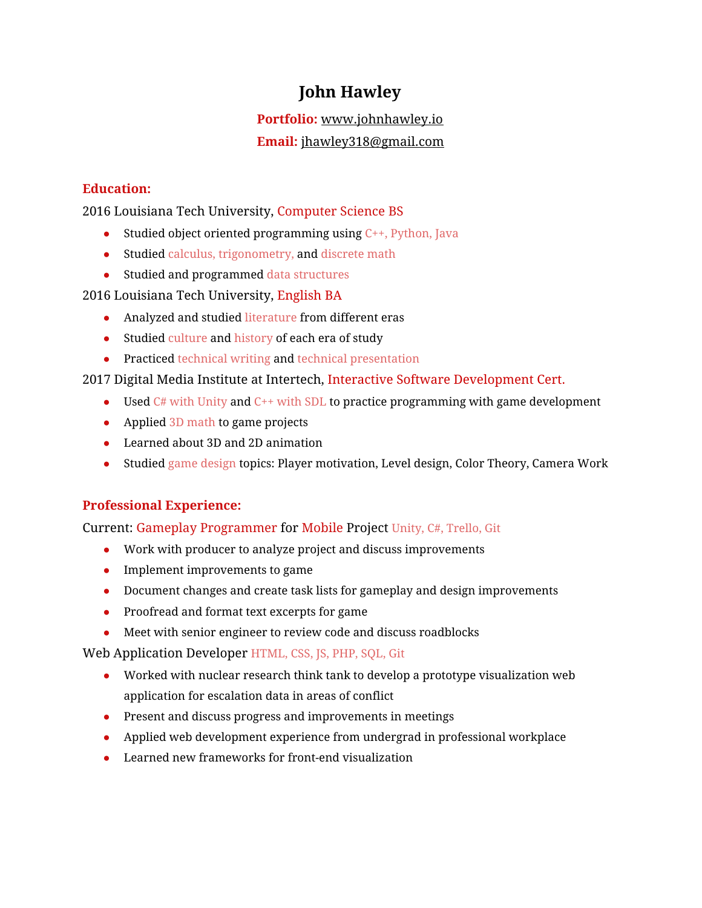## **John Hawley**

# **Portfolio:** [www.johnhawley.io](https://www.johnhawley.io/)

## **Email:** [jhawley318@gmail.com](mailto:jhawley318@gmail.com)

## **Education:**

2016 Louisiana Tech University, Computer Science BS

- Studied object oriented programming using  $C_{++}$ , Python, Java
- Studied calculus, trigonometry, and discrete math
- Studied and programmed data structures

## 2016 Louisiana Tech University, English BA

- Analyzed and studied literature from different eras
- Studied culture and history of each era of study
- Practiced technical writing and technical presentation

## 2017 Digital Media Institute at Intertech, Interactive Software Development Cert.

- Used  $C#$  with Unity and  $C^{++}$  with SDL to practice programming with game development
- Applied 3D math to game projects
- Learned about 3D and 2D animation
- Studied game design topics: Player motivation, Level design, Color Theory, Camera Work

## **Professional Experience:**

## Current: Gameplay Programmer for Mobile Project Unity, C#, Trello, Git

- Work with producer to analyze project and discuss improvements
- $\bullet$  Implement improvements to game
- Document changes and create task lists for gameplay and design improvements
- Proofread and format text excerpts for game
- Meet with senior engineer to review code and discuss roadblocks

Web Application Developer HTML, CSS, JS, PHP, SQL, Git

- Worked with nuclear research think tank to develop a prototype visualization web application for escalation data in areas of conflict
- Present and discuss progress and improvements in meetings
- Applied web development experience from undergrad in professional workplace
- Learned new frameworks for front-end visualization